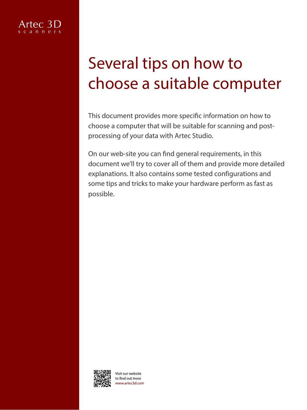# Several tips on how to choose a suitable computer

This document provides more specific information on how to choose a computer that will be suitable for scanning and postprocessing of your data with Artec Studio.

On our web-site you can find general requirements, in this document we'll try to cover all of them and provide more detailed explanations. It also contains some tested configurations and some tips and tricks to make your hardware perform as fast as possible.



Visit our website o find out more vww.artec3d.com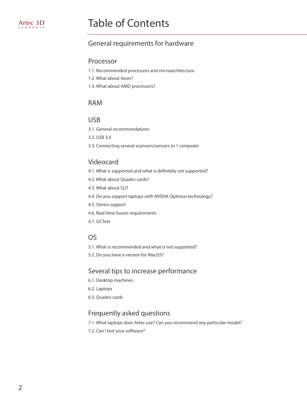# Table of Contents

# General requirements for hardware

#### Processor

- [1.1. Recommen](#page-3-0)ded processors and microarchitecture
- [1.2. What about Xeon?](#page-3-0)
- [1.3. What about AMD p](#page-3-0)rocessors?

#### [RAM](#page-4-0)

#### [USB](#page-4-0)

[3.1. General recommendations](#page-4-0)

[3.2. USB 3.0](#page-4-0)

[3.3. Connecting several scanners/sensors to 1 computer](#page-4-0)

# [Videocard](#page-6-0)

- [4.1. What is supported and what is definitely not supported?](#page-6-0)
- [4.2. What about Quadro cards?](#page-6-0)
- [4.3. What about SLI?](#page-6-0)
- [4.4. Do you support laptops with NVIDIA Optimus technology?](#page-6-0)
- [4.5. Stereo support](#page-6-0)
- [4.6. Real-time fusion requirements](#page-6-0)
- [4.7. GCTest](#page-6-0)

#### [OS](#page-7-0)

- [5.1. What is recommended and what is not supported?](#page-7-0)
- 5.2. Do you have a [version for MacOS](#page-7-0)?

### [Several tips to increase performance](#page-8-0)

- [6.1. Desktop machines](#page-8-0)
- [6.2. Laptops](#page-8-0)
- [6.3. Quadro cards](#page-8-0)

# [Frequently asked questions](#page-9-0)

- [7.1. What laptops does Artec use? Can you recommend any particular model?](#page-9-0)
- [7.2. Can I test your software?](#page-9-0)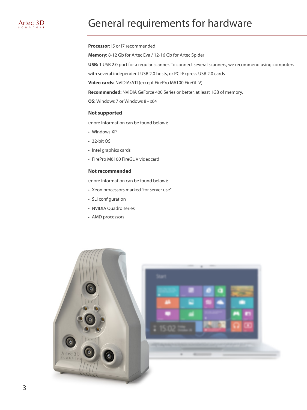# General requirements for hardware

#### **Processor:** I5 or I7 recommended

**Memory:** 8-12 Gb for Artec Eva / 12-16 Gb for Artec Spider

**USB:** 1 USB 2.0 port for a regular scanner. To connect several scanners, we recommend using computers

with several independent USB 2.0 hosts, or PCI-Express USB 2.0 cards

**Video cards:** NVIDIA/ATI (except FirePro M6100 FireGL V)

**Recommended:** NVIDIA GeForce 400 Series or better, at least 1GB of memory.

**OS:** Windows 7 or Windows 8 - x64

#### **Not supported**

(more information can be found below):

- Windows XP
- 32-bit OS
- Intel graphics cards
- FirePro M6100 FireGL V videocard

#### **Not recommended**

(more information can be found below):

- Xeon processors marked "for server use"
- SLI configuration
- NVIDIA Quadro series
- AMD processors

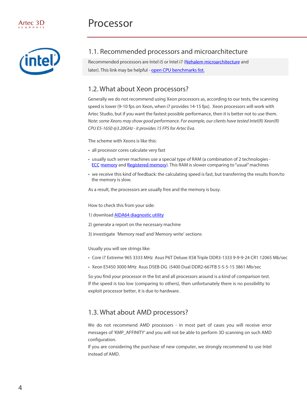<span id="page-3-0"></span>

# 1.1. Recommended processors and microarchitecture

Recommended processors are Intel i5 or Intel i7 [\(Nehalem microarchitecture](http://en.wikipedia.org/wiki/Nehalem_%2528microarchitecture%2529) and later). This link may be helpful - open CPU [benchmarks list.](http://www.cpubenchmark.net/high_end_cpus.html)

### 1.2. What about Xeon processors?

Generally we do not recommend using Xeon processors as, according to our tests, the scanning speed is lower (9-10 fps on Xeon, when i7 provides 14-15 fps). Xeon processors will work with Artec Studio, but if you want the fastest possible performance, then it is better not to use them. Note: some Xeons may show good performance. For example, our clients have tested Intel(R) Xeon(R) CPU E5-1650 @3.20GHz - it provides 15 FPS for Artec Eva.

The scheme with Xeons is like this:

- all processor cores calculate very fast
- usually such server machines use a special type of RAM (a combination of 2 technologi[es -](http://en.wikipedia.org/wiki/ECC_memory) ECC [mem](http://en.wikipedia.org/wiki/ECC_memory)ory [and Registered mem](en.wikipedia.org/wiki/Registered_memory)ory). This RAM is slower comparing to "usual" machines
- we receive this kind of feedback: the calculating speed is fast, but transferring the results from/to the memory is slow.

As a result, the processors are usually free and the memory is busy.

How to check this from your side:

- 1) download **AIDA64 diagnostic utility**
- 2) generate a report on the necessary machine
- 3) investigate 'Memory read' and 'Memory write' sections

Usually you will see strings like:

- Core i7 Extreme 965 3333 MHz Asus P6T Deluxe X58 Triple DDR3-1333 9-9-9-24 CR1 12065 Mb/sec
- Xeon E5450 3000 MHz Asus DSEB-DG i5400 Dual DDR2-667FB 5-5-5-15 3861 Mb/sec

So you find your processor in the list and all processors around is a kind of comparison test. If the speed is too low (comparing to others), then unfortunately there is no possibility to exploit processor better, it is due to hardware.

#### 1.3. What about AMD processors?

We do not recommend AMD processors - in most part of cases you will receive error messages of 'KMP\_AFFINITY' and you will not be able to perform 3D scanning on such AMD configuration.

If you are considering the purchase of new computer, we strongly recommend to use Intel instead of AMD.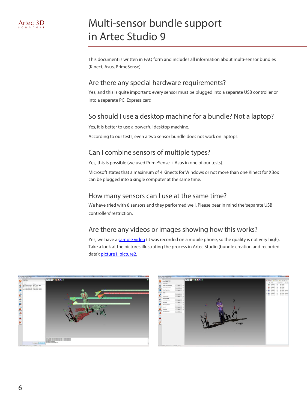# Multi-sensor bundle support in Artec Studio 9

This document is written in FAQ form and includes all information about multi-sensor bundles (Kinect, Asus, PrimeSense).

# Are there any special hardware requirements?

Yes, and this is quite important: every sensor must be plugged into a separate USB controller or into a separate PCI Express card.

# So should I use a desktop machine for a bundle? Not a laptop?

Yes, it is better to use a powerful desktop machine.

According to our tests, even a two sensor bundle does not work on laptops.

# Can I combine sensors of multiple types?

Yes, this is possible (we used PrimeSense + Asus in one of our tests).

Microsoft states that a maximum of 4 Kinects for Windows or not more than one Kinect for XBox can be plugged into a single computer at the same time.

#### How many sensors can I use at the same time?

We have tried with 8 sensors and they performed well. Please bear in mind the 'separate USB controllers' restriction.

# Are there any videos or images showing how this works?

Yes, we have a [sample video](https://dl.dropboxusercontent.com/u/4579146/07%20Olga%20S/USEFUL_docs/BUNDLES/With%20sensors/video.mp4) (it was recorded on a mobile phone, so the quality is not very high). Take a look at the pictures illustrating the process in Artec Studio (bundle creation and reco[rded](https://dl.dropboxusercontent.com/u/4579146/07%20Olga%20S/USEFUL_docs/BUNDLES/With%20sensors/01%20bundle%20creation.jpg)  [data\): pic](https://dl.dropboxusercontent.com/u/4579146/07%20Olga%20S/USEFUL_docs/BUNDLES/With%20sensors/02%20raw%20data.jpg)ture1, picture2.



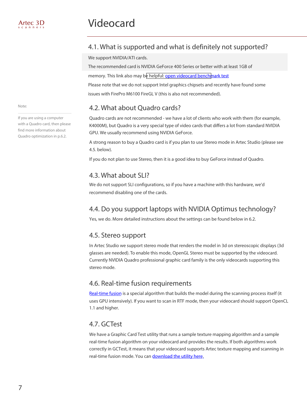# <span id="page-6-0"></span>4.1. What is supported and what is definitely not supported?

We support NVIDIA/ATI cards.

The recommended card is NVIDIA GeForce 400 Series or better with at least 1GB of

memory. This link also may b[e helpful: open videocard benchm](http://www.videocardbenchmark.net/high_end_gpus.html)ark test

Please note that we do not support Intel graphics chipsets and recently have found some issues with FirePro M6100 FireGL V (this is also not recommended).

# 4.2. What about Quadro cards?

Quadro cards are not recommended - we have a lot of clients who work with them (for example, K4000M), but Quadro is a very special type of video cards that differs a lot from standard NVIDIA GPU. We usually recommend using NVIDIA GeForce.

A strong reason to buy a Quadro card is if you plan to use Stereo mode in Artec Studio (please see 4.5. below).

If you do not plan to use Stereo, then it is a good idea to buy GeForce instead of Quadro.

# 4.3. What about SLI?

We do not support SLI configurations, so if you have a machine with this hardware, we'd recommend disabling one of the cards.

# 4.4. Do you support laptops with NVIDIA Optimus technology?

Yes, we do. More detailed instructions about the settings can be found below in 6.2.

# 4.5. Stereo support

In Artec Studio we support stereo mode that renders the model in 3d on stereoscopic displays (3d glasses are needed). To enable this mode, OpenGL Stereo must be supported by the videocard. Currently NVIDIA Quadro professional graphic card family is the only videocards supporting this stereo mode.

# 4.6. Real-time fusion requirements

[Real-time fusion](www.youtube.com/watch?v=5ikezKR0_Wc&feature=c4-overview&list=UUcDKxQ3PcdJJOUCyXfT64fQ) is a special algorithm that builds the model during the scanning process itself (it uses GPU intensively). If you want to scan in RTF mode, then your videocard should support OpenCL 1.1 and higher.

# 4.7. GCTest

We have a Graphic Card Test utility that runs a sample texture mapping algorithm and a sample real-time fusion algorithm on your videocard and provides the results. If both algorithms work correctly in GCTest, it means that your videocard supports Artec texture mapping and scanning in real-time fusion mod[e. You can download the u](https://dl.dropboxusercontent.com/u/4579146/Software/GCTest%202_0_0%20with%20log/GCTest_final_version.rar)tility here.

Note:

If you are using a computer with a Quadro card, then please find more information about Quadro optimization in p.6.2.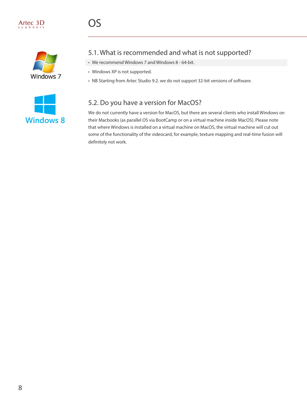<span id="page-7-0"></span>



# 5.1. What is recommended and what is not supported?

- We recommend Windows 7 and Windows 8 64-bit.
- Windows XP is not supported.
- NB Starting from Artec Studio 9.2. we do not support 32-bit versions of software.

# 5.2. Do you have a version for MacOS?

We do not currently have a version for MacOS, but there are several clients who install Windows on their Macbooks (as parallel OS via BootCamp or on a virtual machine inside MacOS). Please note that where Windows is installed on a virtual machine on MacOS, the virtual machine will cut out some of the functionality of the videocard, for example, texture mapping and real-time fusion will definitely not work.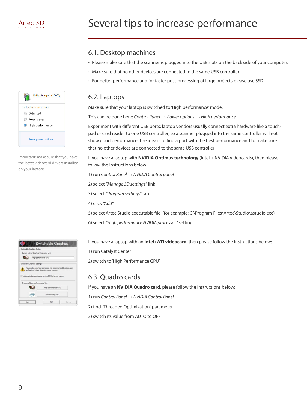# Several tips to increase performance

# 6.1. Desktop machines

- Please make sure that the scanner is plugged into the USB slots on the back side of your computer.
- Make sure that no other devices are connected to the same USB controller
- For better performance and for faster post-processing of large projects please use SSD.

#### 6.2. Laptops

Make sure that your laptop is switched to'High performance' mode.

This can be done here: *Control Panel → Power options → High performance*

Experiment with different USB ports: laptop vendors usually connect extra hardware like a touchpad or card reader to one USB controller, so a scanner plugged into the same controller will not show good performance. The idea is to find a port with the best performance and to make sure that no other devices are connected to the same USB controller

If you have a laptop with **NVIDIA Optimus technology** (Intel + NVIDIA videocards), then please follow the instructions below:

1) run *Control Panel → NVIDIA Control panel*

2) select *"Manage 3D settings"* link

3) select *"Program settings"* tab

4) click *"Add"*

5) select Artec Studio executable file (for example: C:\Program Files\Artec\Studio\astudio.exe)

6) select *"High performance NVIDIA processor"* setting

If you have a laptop with an **Intel+ATI videocard**, then please follow the instructions below:

1) run Catalyst Center

2) switch to 'High Performance GPU'

# 6.3. Quadro cards

If you have an **NVIDIA Quadro card**, please follow the instructions below:

1) run *Control Panel → NVIDIA Control Panel*

2) find "Threaded Optimization" parameter

3) switch its value from AUTO to OFF

<span id="page-8-0"></span>

Important: make sure that you have the latest videocard drivers installed on your laptop!

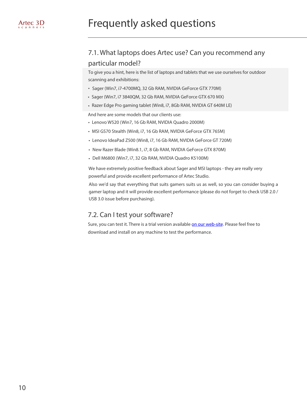# <span id="page-9-0"></span>Frequently asked questions

# 7.1. What laptops does Artec use? Can you recommend any particular model?

To give you a hint, here is the list of laptops and tablets that we use ourselves for outdoor scanning and exhibitions:

- Sager (Win7, i7-4700MQ, 32 Gb RAM, NVIDIA GeForce GTX 770M)
- Sager (Win7, i7 3840QM, 32 Gb RAM, NVIDIA GeForce GTX 670 MX)
- Razer Edge Pro gaming tablet (Win8, i7, 8Gb RAM, NVIDIA GT 640M LE)

And here are some models that our clients use:

- Lenovo W520 (Win7, 16 Gb RAM, NVIDIA Quadro 2000M)
- MSI GS70 Stealth (Win8, i7, 16 Gb RAM, NVIDIA GeForce GTX 765M)
- Lenovo IdeaPad Z500 (Win8, i7, 16 Gb RAM, NVIDIA GeForce GT 720M)
- New Razer Blade (Win8.1, i7, 8 Gb RAM, NVIDIA GeForce GTX 870M)
- Dell M6800 (Win7, i7, 32 Gb RAM, NVIDIA Quadro K5100M)

We have extremely positive feedback about Sager and MSI laptops - they are really very powerful and provide excellent performance of Artec Studio.

Also we'd say that everything that suits gamers suits us as well, so you can consider buying a gamer laptop and it will provide excellent performance (please do not forget to check USB 2.0 / USB 3.0 issue before purchasing).

#### 7.2. Can I test your software?

Sure, you can test it. There is a trial version available [on our web-site](www.artec3d.com/software/). Please feel free to download and install on any machine to test the performance.